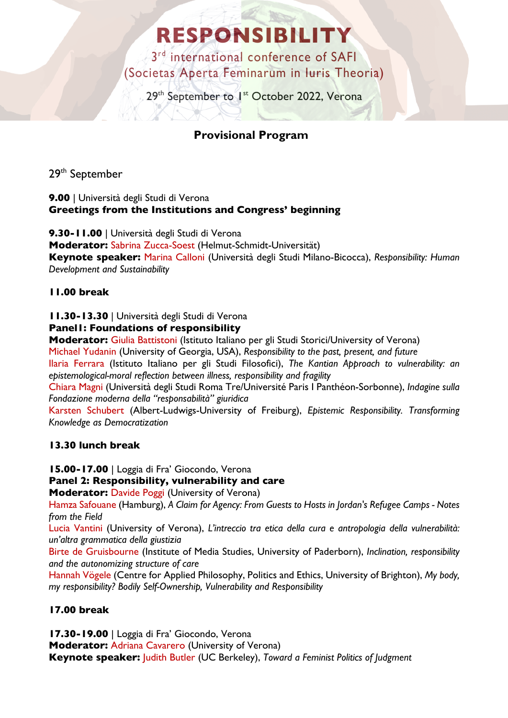# **RESPONSIBILITY**

 $3<sup>rd</sup>$  international conference of SAFI (Societas Aperta Feminarum in Iuris Theoria)

29<sup>th</sup> September to <sup>1st</sup> October 2022, Verona

## **Provisional Program**

29th September

**9.00** | Università degli Studi di Verona **Greetings from the Institutions and Congress' beginning**

**9.30-11.00** | Università degli Studi di Verona **Moderator:** Sabrina Zucca-Soest (Helmut-Schmidt-Universität) **Keynote speaker:** Marina Calloni (Università degli Studi Milano-Bicocca), *Responsibility: Human Development and Sustainability* 

### **11.00 break**

**11.30-13.30** | Università degli Studi di Verona

**Panel1: Foundations of responsibility**

**Moderator:** Giulia Battistoni (Istituto Italiano per gli Studi Storici/University of Verona)

Michael Yudanin (University of Georgia, USA), *Responsibility to the past, present, and future* Ilaria Ferrara (Istituto Italiano per gli Studi Filosofici), *The Kantian Approach to vulnerability: an epistemological-moral reflection between illness, responsibility and fragility*

Chiara Magni (Università degli Studi Roma Tre/Université Paris I Panthéon-Sorbonne), *Indagine sulla Fondazione moderna della "responsabilità" giuridica*

Karsten Schubert (Albert-Ludwigs-University of Freiburg), *Epistemic Responsibility. Transforming Knowledge as Democratization*

#### **13.30 lunch break**

**15.00-17.00** | Loggia di Fra' Giocondo, Verona

#### **Panel 2: Responsibility, vulnerability and care**

**Moderator:** Davide Poggi (University of Verona)

Hamza Safouane (Hamburg), *A Claim for Agency: From Guests to Hosts in Jordan's Refugee Camps - Notes from the Field*

Lucia Vantini (University of Verona), *L'intreccio tra etica della cura e antropologia della vulnerabilità: un'altra grammatica della giustizia*

Birte de Gruisbourne (Institute of Media Studies, University of Paderborn), *Inclination, responsibility and the autonomizing structure of care*

Hannah Vögele (Centre for Applied Philosophy, Politics and Ethics, University of Brighton), *My body, my responsibility? Bodily Self-Ownership, Vulnerability and Responsibility*

### **17.00 break**

**17.30-19.00** | Loggia di Fra' Giocondo, Verona **Moderator:** Adriana Cavarero (University of Verona) **Keynote speaker:** Judith Butler (UC Berkeley), *Toward a Feminist Politics of Judgment*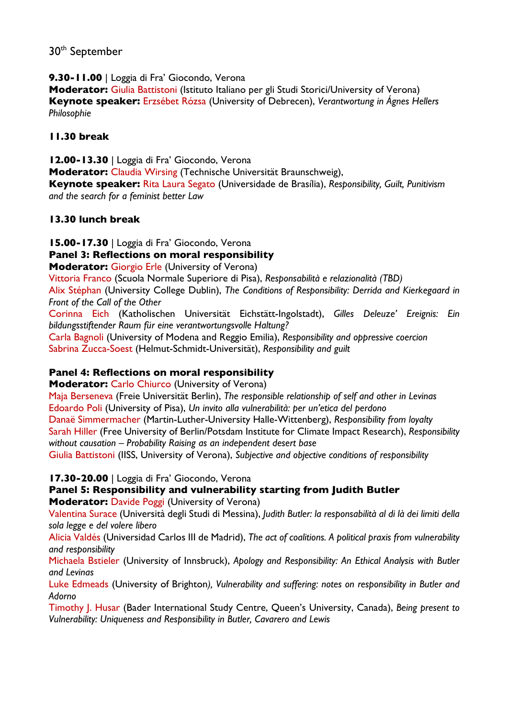### 30<sup>th</sup> September

**9.30-11.00** | Loggia di Fra' Giocondo, Verona

**Moderator: Giulia Battistoni (Istituto Italiano per gli Studi Storici/University of Verona) Keynote speaker:** Erzsébet Rózsa (University of Debrecen), *Verantwortung in Ágnes Hellers Philosophie*

#### **11.30 break**

**12.00-13.30** | Loggia di Fra' Giocondo, Verona **Moderator:** Claudia Wirsing (Technische Universität Braunschweig),

**Keynote speaker:** Rita Laura Segato (Universidade de Brasília), *Responsibility, Guilt, Punitivism and the search for a feminist better Law*

#### **13.30 lunch break**

**15.00-17.30** | Loggia di Fra' Giocondo, Verona

#### **Panel 3: Reflections on moral responsibility**

**Moderator:** Giorgio Erle (University of Verona)

Vittoria Franco (Scuola Normale Superiore di Pisa), *Responsabilità e relazionalità (TBD)*

Alix Stéphan (University College Dublin), *The Conditions of Responsibility: Derrida and Kierkegaard in Front of the Call of the Other*

Corinna Eich (Katholischen Universität Eichstätt-Ingolstadt), *Gilles Deleuze' Ereignis: Ein bildungsstiftender Raum für eine verantwortungsvolle Haltung?*

Carla Bagnoli (University of Modena and Reggio Emilia), *Responsibility and oppressive coercion* Sabrina Zucca-Soest (Helmut-Schmidt-Universität), *Responsibility and guilt*

#### **Panel 4: Reflections on moral responsibility**

**Moderator:** Carlo Chiurco (University of Verona)

Maja Berseneva (Freie Universität Berlin), *The responsible relationship of self and other in Levinas* Edoardo Poli (University of Pisa), *Un invito alla vulnerabilità: per un'etica del perdono* Danaë Simmermacher (Martin-Luther-University Halle-Wittenberg), *Responsibility from loyalty* Sarah Hiller (Free University of Berlin/Potsdam Institute for Climate Impact Research), *Responsibility without causation – Probability Raising as an independent desert base* Giulia Battistoni (IISS, University of Verona), *Subjective and objective conditions of responsibility*

**17.30-20.00** | Loggia di Fra' Giocondo, Verona

**Panel 5: Responsibility and vulnerability starting from Judith Butler Moderator:** Davide Poggi (University of Verona)

Valentina Surace (Università degli Studi di Messina), *Judith Butler: la responsabilità al di là dei limiti della sola legge e del volere libero*

Alicia Valdés (Universidad Carlos III de Madrid), *The act of coalitions. A political praxis from vulnerability and responsibility*

Michaela Bstieler (University of Innsbruck), *Apology and Responsibility: An Ethical Analysis with Butler and Levinas* 

Luke Edmeads (University of Brighton*), Vulnerability and suffering: notes on responsibility in Butler and Adorno* 

Timothy J. Husar (Bader International Study Centre, Queen's University, Canada), *Being present to Vulnerability: Uniqueness and Responsibility in Butler, Cavarero and Lewis*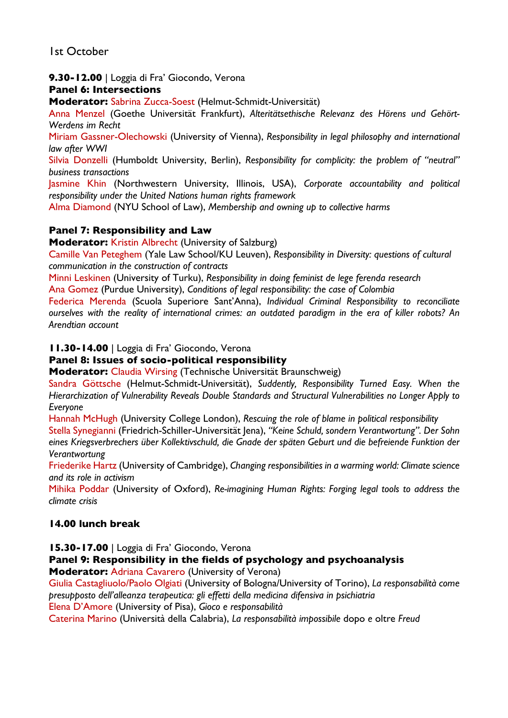1st October

#### **9.30-12.00** | Loggia di Fra' Giocondo, Verona

#### **Panel 6: Intersections**

**Moderator:** Sabrina Zucca-Soest (Helmut-Schmidt-Universität)

Anna Menzel (Goethe Universität Frankfurt), *Alteritätsethische Relevanz des Hörens und Gehört-Werdens im Recht*

Miriam Gassner-Olechowski (University of Vienna), *Responsibility in legal philosophy and international law after WWI*

Silvia Donzelli (Humboldt University, Berlin), *Responsibility for complicity: the problem of "neutral" business transactions*

Jasmine Khin (Northwestern University, Illinois, USA), *Corporate accountability and political responsibility under the United Nations human rights framework*

Alma Diamond (NYU School of Law), *Membership and owning up to collective harms*

#### **Panel 7: Responsibility and Law**

**Moderator:** Kristin Albrecht (University of Salzburg)

Camille Van Peteghem (Yale Law School/KU Leuven), *Responsibility in Diversity: questions of cultural communication in the construction of contracts*

Minni Leskinen (University of Turku), *Responsibility in doing feminist de lege ferenda research* Ana Gomez (Purdue University), *Conditions of legal responsibility: the case of Colombia*

Federica Merenda (Scuola Superiore Sant'Anna), *Individual Criminal Responsibility to reconciliate ourselves with the reality of international crimes: an outdated paradigm in the era of killer robots? An Arendtian account* 

**11.30-14.00** | Loggia di Fra' Giocondo, Verona

#### **Panel 8: Issues of socio-political responsibility**

**Moderator:** Claudia Wirsing (Technische Universität Braunschweig)

Sandra Göttsche (Helmut-Schmidt-Universität), *Suddently, Responsibility Turned Easy. When the Hierarchization of Vulnerability Reveals Double Standards and Structural Vulnerabilities no Longer Apply to Everyone*

Hannah McHugh (University College London), *Rescuing the role of blame in political responsibility*

Stella Synegianni (Friedrich-Schiller-Universität Jena), *"Keine Schuld, sondern Verantwortung". Der Sohn eines Kriegsverbrechers über Kollektivschuld, die Gnade der späten Geburt und die befreiende Funktion der Verantwortung*

Friederike Hartz (University of Cambridge), *Changing responsibilities in a warming world: Climate science and its role in activism*

Mihika Poddar (University of Oxford), *Re-imagining Human Rights: Forging legal tools to address the climate crisis*

#### **14.00 lunch break**

**15.30-17.00** | Loggia di Fra' Giocondo, Verona

**Panel 9: Responsibility in the fields of psychology and psychoanalysis**

**Moderator:** Adriana Cavarero (University of Verona)

Giulia Castagliuolo/Paolo Olgiati (University of Bologna/University of Torino), *La responsabilità come presupposto dell'alleanza terapeutica: gli effetti della medicina difensiva in psichiatria*

Elena D'Amore (University of Pisa), *Gioco e responsabilità*

Caterina Marino (Università della Calabria), *La responsabilità impossibile* dopo *e* oltre *Freud*